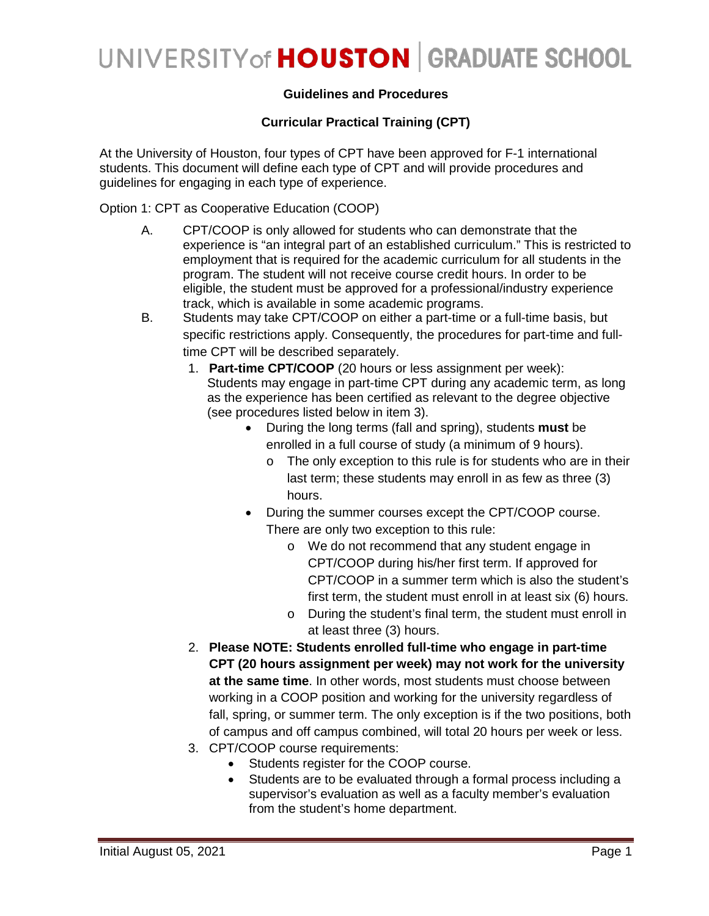### **Guidelines and Procedures**

### **Curricular Practical Training (CPT)**

At the University of Houston, four types of CPT have been approved for F-1 international students. This document will define each type of CPT and will provide procedures and guidelines for engaging in each type of experience.

Option 1: CPT as Cooperative Education (COOP)

- A. CPT/COOP is only allowed for students who can demonstrate that the experience is "an integral part of an established curriculum." This is restricted to employment that is required for the academic curriculum for all students in the program. The student will not receive course credit hours. In order to be eligible, the student must be approved for a professional/industry experience track, which is available in some academic programs.
- B. Students may take CPT/COOP on either a part-time or a full-time basis, but specific restrictions apply. Consequently, the procedures for part-time and fulltime CPT will be described separately.
	- 1. **Part-time CPT/COOP** (20 hours or less assignment per week): Students may engage in part-time CPT during any academic term, as long as the experience has been certified as relevant to the degree objective (see procedures listed below in item 3).
		- During the long terms (fall and spring), students **must** be enrolled in a full course of study (a minimum of 9 hours).
			- o The only exception to this rule is for students who are in their last term; these students may enroll in as few as three (3) hours.
		- During the summer courses except the CPT/COOP course. There are only two exception to this rule:
			- o We do not recommend that any student engage in CPT/COOP during his/her first term. If approved for CPT/COOP in a summer term which is also the student's first term, the student must enroll in at least six (6) hours.
			- o During the student's final term, the student must enroll in at least three (3) hours.
	- 2. **Please NOTE: Students enrolled full-time who engage in part-time CPT (20 hours assignment per week) may not work for the university at the same time**. In other words, most students must choose between working in a COOP position and working for the university regardless of fall, spring, or summer term. The only exception is if the two positions, both of campus and off campus combined, will total 20 hours per week or less.
	- 3. CPT/COOP course requirements:
		- Students register for the COOP course.
		- Students are to be evaluated through a formal process including a supervisor's evaluation as well as a faculty member's evaluation from the student's home department.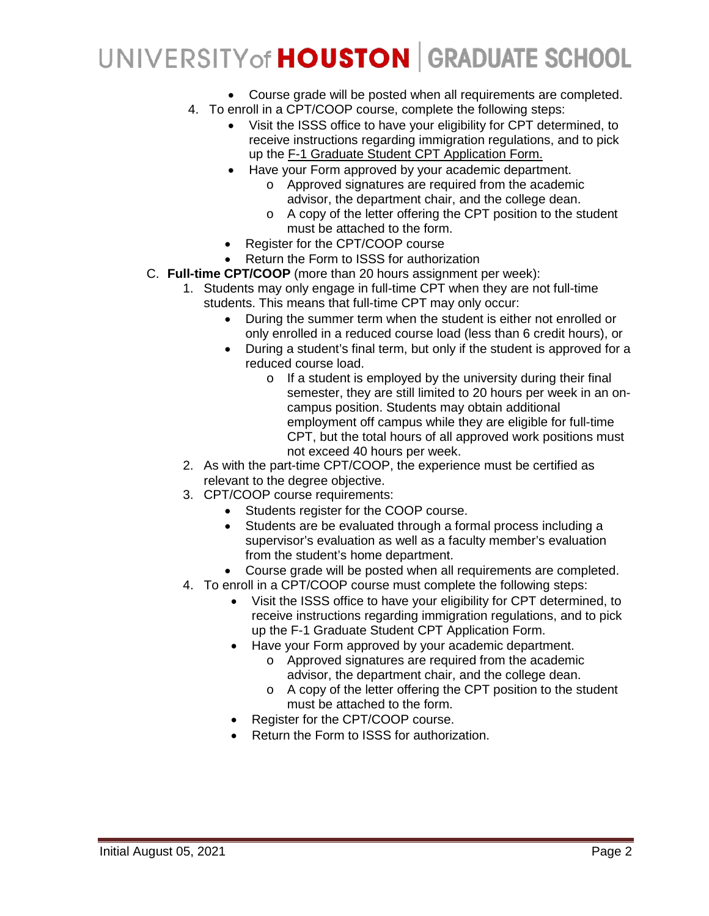- Course grade will be posted when all requirements are completed.
- 4. To enroll in a CPT/COOP course, complete the following steps:
	- Visit the ISSS office to have your eligibility for CPT determined, to receive instructions regarding immigration regulations, and to pick up the F-1 Graduate Student CPT Application Form.
	- Have your Form approved by your academic department.
		- o Approved signatures are required from the academic advisor, the department chair, and the college dean.
		- o A copy of the letter offering the CPT position to the student must be attached to the form.
	- Register for the CPT/COOP course
	- Return the Form to ISSS for authorization
- C. **Full-time CPT/COOP** (more than 20 hours assignment per week):
	- 1. Students may only engage in full-time CPT when they are not full-time students. This means that full-time CPT may only occur:
		- During the summer term when the student is either not enrolled or only enrolled in a reduced course load (less than 6 credit hours), or
		- During a student's final term, but only if the student is approved for a reduced course load.
			- o If a student is employed by the university during their final semester, they are still limited to 20 hours per week in an oncampus position. Students may obtain additional employment off campus while they are eligible for full-time CPT, but the total hours of all approved work positions must not exceed 40 hours per week.
	- 2. As with the part-time CPT/COOP, the experience must be certified as relevant to the degree objective.
	- 3. CPT/COOP course requirements:
		- Students register for the COOP course.
		- Students are be evaluated through a formal process including a supervisor's evaluation as well as a faculty member's evaluation from the student's home department.
		- Course grade will be posted when all requirements are completed.
	- 4. To enroll in a CPT/COOP course must complete the following steps:
		- Visit the ISSS office to have your eligibility for CPT determined, to receive instructions regarding immigration regulations, and to pick up the F-1 Graduate Student CPT Application Form.
		- Have your Form approved by your academic department.
			- o Approved signatures are required from the academic advisor, the department chair, and the college dean.
			- o A copy of the letter offering the CPT position to the student must be attached to the form.
		- Register for the CPT/COOP course.
		- Return the Form to ISSS for authorization.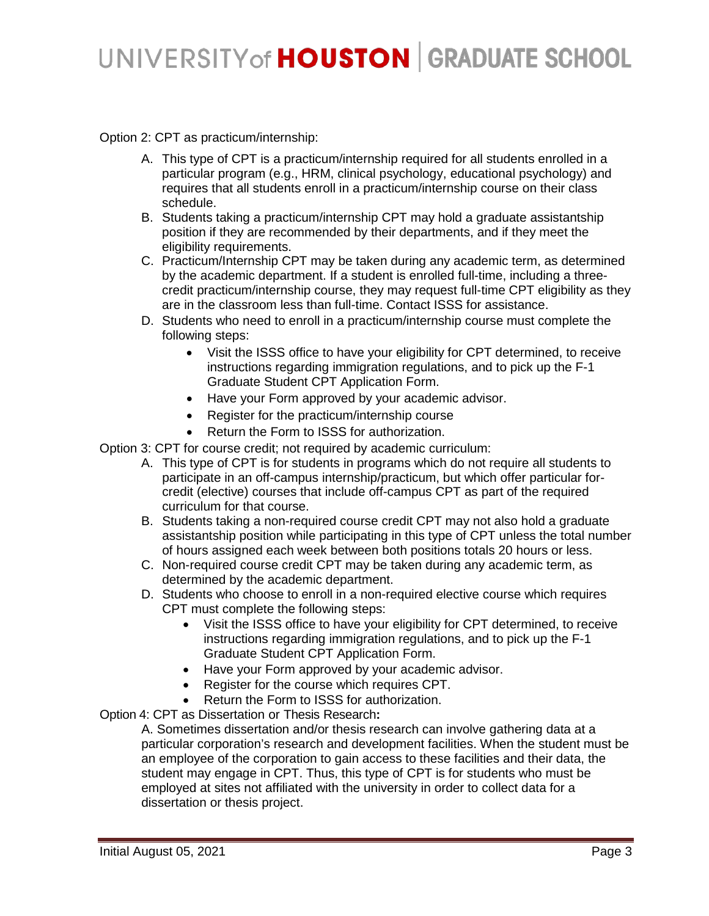Option 2: CPT as practicum/internship:

- A. This type of CPT is a practicum/internship required for all students enrolled in a particular program (e.g., HRM, clinical psychology, educational psychology) and requires that all students enroll in a practicum/internship course on their class schedule.
- B. Students taking a practicum/internship CPT may hold a graduate assistantship position if they are recommended by their departments, and if they meet the eligibility requirements.
- C. Practicum/Internship CPT may be taken during any academic term, as determined by the academic department. If a student is enrolled full-time, including a threecredit practicum/internship course, they may request full-time CPT eligibility as they are in the classroom less than full-time. Contact ISSS for assistance.
- D. Students who need to enroll in a practicum/internship course must complete the following steps:
	- Visit the ISSS office to have your eligibility for CPT determined, to receive instructions regarding immigration regulations, and to pick up the F-1 Graduate Student CPT Application Form.
	- Have your Form approved by your academic advisor.
	- Register for the practicum/internship course
	- Return the Form to ISSS for authorization.
- Option 3: CPT for course credit; not required by academic curriculum:
	- A. This type of CPT is for students in programs which do not require all students to participate in an off-campus internship/practicum, but which offer particular forcredit (elective) courses that include off-campus CPT as part of the required curriculum for that course.
	- B. Students taking a non-required course credit CPT may not also hold a graduate assistantship position while participating in this type of CPT unless the total number of hours assigned each week between both positions totals 20 hours or less.
	- C. Non-required course credit CPT may be taken during any academic term, as determined by the academic department.
	- D. Students who choose to enroll in a non-required elective course which requires CPT must complete the following steps:
		- Visit the ISSS office to have your eligibility for CPT determined, to receive instructions regarding immigration regulations, and to pick up the F-1 Graduate Student CPT Application Form.
		- Have your Form approved by your academic advisor.
		- Register for the course which requires CPT.
		- Return the Form to ISSS for authorization.

Option 4: CPT as Dissertation or Thesis Research**:**

A. Sometimes dissertation and/or thesis research can involve gathering data at a particular corporation's research and development facilities. When the student must be an employee of the corporation to gain access to these facilities and their data, the student may engage in CPT. Thus, this type of CPT is for students who must be employed at sites not affiliated with the university in order to collect data for a dissertation or thesis project.